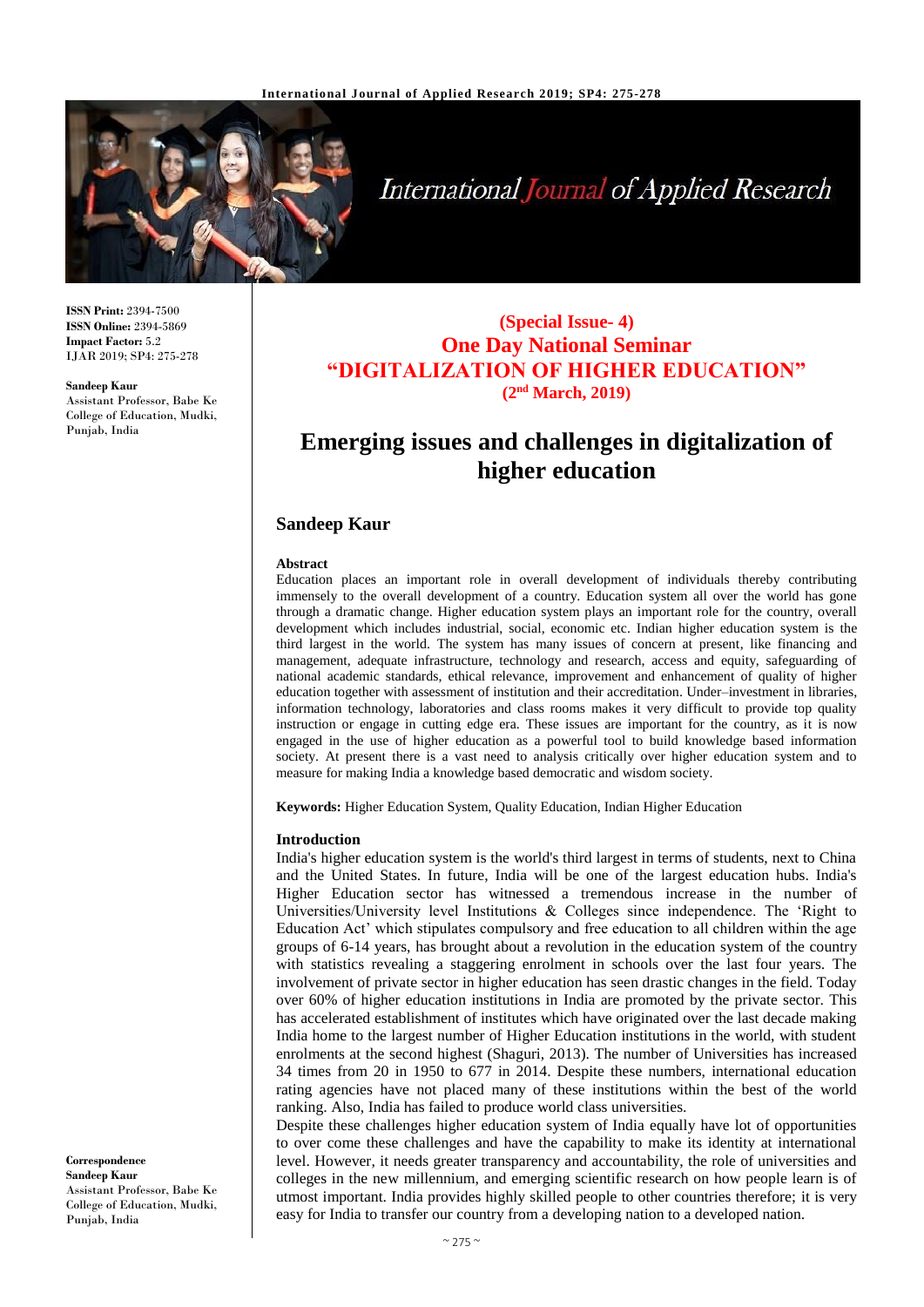

**International Journal of Applied Research** 

**ISSN Print:** 2394-7500 **ISSN Online:** 2394-5869 **Impact Factor:** 5.2 IJAR 2019; SP4: 275-278

**Sandeep Kaur**

Assistant Professor, Babe Ke College of Education, Mudki, Punjab, India

## **(Special Issue- 4) One Day National Seminar "DIGITALIZATION OF HIGHER EDUCATION" (2nd March, 2019)**

# **Emerging issues and challenges in digitalization of higher education**

## **Sandeep Kaur**

#### **Abstract**

Education places an important role in overall development of individuals thereby contributing immensely to the overall development of a country. Education system all over the world has gone through a dramatic change. Higher education system plays an important role for the country, overall development which includes industrial, social, economic etc. Indian higher education system is the third largest in the world. The system has many issues of concern at present, like financing and management, adequate infrastructure, technology and research, access and equity, safeguarding of national academic standards, ethical relevance, improvement and enhancement of quality of higher education together with assessment of institution and their accreditation. Under–investment in libraries, information technology, laboratories and class rooms makes it very difficult to provide top quality instruction or engage in cutting edge era. These issues are important for the country, as it is now engaged in the use of higher education as a powerful tool to build knowledge based information society. At present there is a vast need to analysis critically over higher education system and to measure for making India a knowledge based democratic and wisdom society.

**Keywords:** Higher Education System, Quality Education, Indian Higher Education

#### **Introduction**

India's higher education system is the world's third largest in terms of students, next to China and the United States. In future, India will be one of the largest education hubs. India's Higher Education sector has witnessed a tremendous increase in the number of Universities/University level Institutions & Colleges since independence. The 'Right to Education Act' which stipulates compulsory and free education to all children within the age groups of 6-14 years, has brought about a revolution in the education system of the country with statistics revealing a staggering enrolment in schools over the last four years. The involvement of private sector in higher education has seen drastic changes in the field. Today over 60% of higher education institutions in India are promoted by the private sector. This has accelerated establishment of institutes which have originated over the last decade making India home to the largest number of Higher Education institutions in the world, with student enrolments at the second highest (Shaguri, 2013). The number of Universities has increased 34 times from 20 in 1950 to 677 in 2014. Despite these numbers, international education rating agencies have not placed many of these institutions within the best of the world ranking. Also, India has failed to produce world class universities.

Despite these challenges higher education system of India equally have lot of opportunities to over come these challenges and have the capability to make its identity at international level. However, it needs greater transparency and accountability, the role of universities and colleges in the new millennium, and emerging scientific research on how people learn is of utmost important. India provides highly skilled people to other countries therefore; it is very easy for India to transfer our country from a developing nation to a developed nation.

**Correspondence Sandeep Kaur** Assistant Professor, Babe Ke College of Education, Mudki, Punjab, India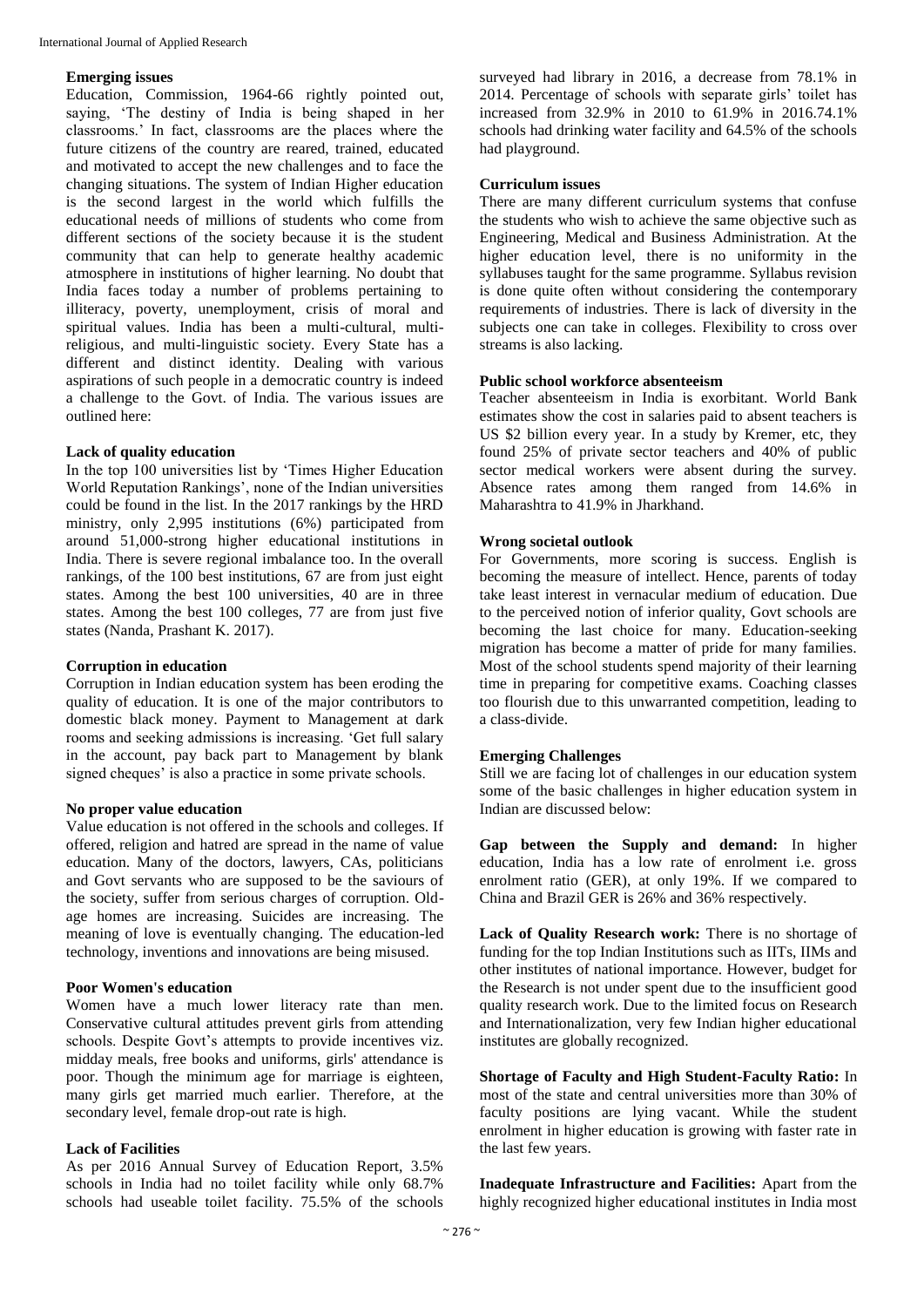#### **Emerging issues**

Education, Commission, 1964-66 rightly pointed out, saying, 'The destiny of India is being shaped in her classrooms.' In fact, classrooms are the places where the future citizens of the country are reared, trained, educated and motivated to accept the new challenges and to face the changing situations. The system of Indian Higher education is the second largest in the world which fulfills the educational needs of millions of students who come from different sections of the society because it is the student community that can help to generate healthy academic atmosphere in institutions of higher learning. No doubt that India faces today a number of problems pertaining to illiteracy, poverty, unemployment, crisis of moral and spiritual values. India has been a multi-cultural, multireligious, and multi-linguistic society. Every State has a different and distinct identity. Dealing with various aspirations of such people in a democratic country is indeed a challenge to the Govt. of India. The various issues are outlined here:

## **Lack of quality education**

In the top 100 universities list by 'Times Higher Education World Reputation Rankings', none of the Indian universities could be found in the list. In the 2017 rankings by the HRD ministry, only 2,995 institutions (6%) participated from around 51,000-strong higher educational institutions in India. There is severe regional imbalance too. In the overall rankings, of the 100 best institutions, 67 are from just eight states. Among the best 100 universities, 40 are in three states. Among the best 100 colleges, 77 are from just five states (Nanda, Prashant K. 2017).

#### **Corruption in education**

Corruption in Indian education system has been eroding the quality of education. It is one of the major contributors to domestic black money. Payment to Management at dark rooms and seeking admissions is increasing. 'Get full salary in the account, pay back part to Management by blank signed cheques' is also a practice in some private schools.

#### **No proper value education**

Value education is not offered in the schools and colleges. If offered, religion and hatred are spread in the name of value education. Many of the doctors, lawyers, CAs, politicians and Govt servants who are supposed to be the saviours of the society, suffer from serious charges of corruption. Oldage homes are increasing. Suicides are increasing. The meaning of love is eventually changing. The education-led technology, inventions and innovations are being misused.

#### **Poor Women's education**

Women have a much lower literacy rate than men. Conservative cultural attitudes prevent girls from attending schools. Despite Govt's attempts to provide incentives viz. midday meals, free books and uniforms, girls' attendance is poor. Though the minimum age for marriage is eighteen, many girls get married much earlier. Therefore, at the secondary level, female drop-out rate is high.

#### **Lack of Facilities**

As per 2016 Annual Survey of Education Report, 3.5% schools in India had no toilet facility while only 68.7% schools had useable toilet facility. 75.5% of the schools

surveyed had library in 2016, a decrease from 78.1% in 2014. Percentage of schools with separate girls' toilet has increased from 32.9% in 2010 to 61.9% in 2016.74.1% schools had drinking water facility and 64.5% of the schools had playground.

#### **Curriculum issues**

There are many different curriculum systems that confuse the students who wish to achieve the same objective such as Engineering, Medical and Business Administration. At the higher education level, there is no uniformity in the syllabuses taught for the same programme. Syllabus revision is done quite often without considering the contemporary requirements of industries. There is lack of diversity in the subjects one can take in colleges. Flexibility to cross over streams is also lacking.

## **Public school workforce absenteeism**

Teacher absenteeism in India is exorbitant. World Bank estimates show the cost in salaries paid to absent teachers is US \$2 billion every year. In a study by Kremer, etc, they found 25% of private sector teachers and 40% of public sector medical workers were absent during the survey. Absence rates among them ranged from 14.6% in Maharashtra to 41.9% in Jharkhand.

#### **Wrong societal outlook**

For Governments, more scoring is success. English is becoming the measure of intellect. Hence, parents of today take least interest in vernacular medium of education. Due to the perceived notion of inferior quality, Govt schools are becoming the last choice for many. Education-seeking migration has become a matter of pride for many families. Most of the school students spend majority of their learning time in preparing for competitive exams. Coaching classes too flourish due to this unwarranted competition, leading to a class-divide.

#### **Emerging Challenges**

Still we are facing lot of challenges in our education system some of the basic challenges in higher education system in Indian are discussed below:

**Gap between the Supply and demand:** In higher education, India has a low rate of enrolment i.e. gross enrolment ratio (GER), at only 19%. If we compared to China and Brazil GER is 26% and 36% respectively.

**Lack of Quality Research work:** There is no shortage of funding for the top Indian Institutions such as IITs, IIMs and other institutes of national importance. However, budget for the Research is not under spent due to the insufficient good quality research work. Due to the limited focus on Research and Internationalization, very few Indian higher educational institutes are globally recognized.

**Shortage of Faculty and High Student-Faculty Ratio:** In most of the state and central universities more than 30% of faculty positions are lying vacant. While the student enrolment in higher education is growing with faster rate in the last few years.

**Inadequate Infrastructure and Facilities:** Apart from the highly recognized higher educational institutes in India most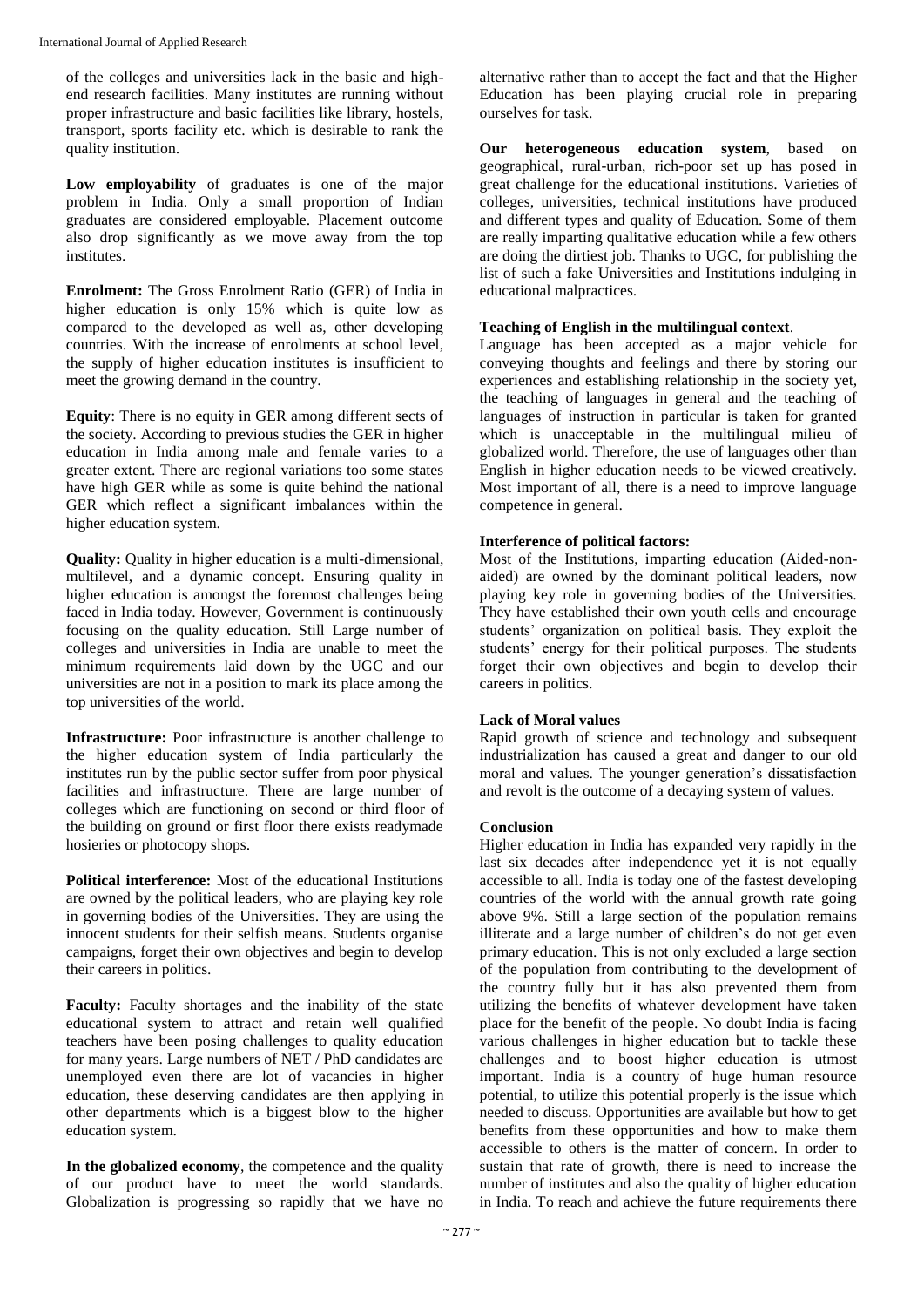of the colleges and universities lack in the basic and highend research facilities. Many institutes are running without proper infrastructure and basic facilities like library, hostels, transport, sports facility etc. which is desirable to rank the quality institution.

**Low employability** of graduates is one of the major problem in India. Only a small proportion of Indian graduates are considered employable. Placement outcome also drop significantly as we move away from the top institutes.

**Enrolment:** The Gross Enrolment Ratio (GER) of India in higher education is only 15% which is quite low as compared to the developed as well as, other developing countries. With the increase of enrolments at school level, the supply of higher education institutes is insufficient to meet the growing demand in the country.

**Equity**: There is no equity in GER among different sects of the society. According to previous studies the GER in higher education in India among male and female varies to a greater extent. There are regional variations too some states have high GER while as some is quite behind the national GER which reflect a significant imbalances within the higher education system.

**Quality:** Quality in higher education is a multi-dimensional, multilevel, and a dynamic concept. Ensuring quality in higher education is amongst the foremost challenges being faced in India today. However, Government is continuously focusing on the quality education. Still Large number of colleges and universities in India are unable to meet the minimum requirements laid down by the UGC and our universities are not in a position to mark its place among the top universities of the world.

**Infrastructure:** Poor infrastructure is another challenge to the higher education system of India particularly the institutes run by the public sector suffer from poor physical facilities and infrastructure. There are large number of colleges which are functioning on second or third floor of the building on ground or first floor there exists readymade hosieries or photocopy shops.

**Political interference:** Most of the educational Institutions are owned by the political leaders, who are playing key role in governing bodies of the Universities. They are using the innocent students for their selfish means. Students organise campaigns, forget their own objectives and begin to develop their careers in politics.

Faculty: Faculty shortages and the inability of the state educational system to attract and retain well qualified teachers have been posing challenges to quality education for many years. Large numbers of NET / PhD candidates are unemployed even there are lot of vacancies in higher education, these deserving candidates are then applying in other departments which is a biggest blow to the higher education system.

**In the globalized economy**, the competence and the quality of our product have to meet the world standards. Globalization is progressing so rapidly that we have no

alternative rather than to accept the fact and that the Higher Education has been playing crucial role in preparing ourselves for task.

**Our heterogeneous education system**, based on geographical, rural-urban, rich-poor set up has posed in great challenge for the educational institutions. Varieties of colleges, universities, technical institutions have produced and different types and quality of Education. Some of them are really imparting qualitative education while a few others are doing the dirtiest job. Thanks to UGC, for publishing the list of such a fake Universities and Institutions indulging in educational malpractices.

## **Teaching of English in the multilingual context**.

Language has been accepted as a major vehicle for conveying thoughts and feelings and there by storing our experiences and establishing relationship in the society yet, the teaching of languages in general and the teaching of languages of instruction in particular is taken for granted which is unacceptable in the multilingual milieu of globalized world. Therefore, the use of languages other than English in higher education needs to be viewed creatively. Most important of all, there is a need to improve language competence in general.

## **Interference of political factors:**

Most of the Institutions, imparting education (Aided-nonaided) are owned by the dominant political leaders, now playing key role in governing bodies of the Universities. They have established their own youth cells and encourage students' organization on political basis. They exploit the students' energy for their political purposes. The students forget their own objectives and begin to develop their careers in politics.

## **Lack of Moral values**

Rapid growth of science and technology and subsequent industrialization has caused a great and danger to our old moral and values. The younger generation's dissatisfaction and revolt is the outcome of a decaying system of values.

## **Conclusion**

Higher education in India has expanded very rapidly in the last six decades after independence yet it is not equally accessible to all. India is today one of the fastest developing countries of the world with the annual growth rate going above 9%. Still a large section of the population remains illiterate and a large number of children's do not get even primary education. This is not only excluded a large section of the population from contributing to the development of the country fully but it has also prevented them from utilizing the benefits of whatever development have taken place for the benefit of the people. No doubt India is facing various challenges in higher education but to tackle these challenges and to boost higher education is utmost important. India is a country of huge human resource potential, to utilize this potential properly is the issue which needed to discuss. Opportunities are available but how to get benefits from these opportunities and how to make them accessible to others is the matter of concern. In order to sustain that rate of growth, there is need to increase the number of institutes and also the quality of higher education in India. To reach and achieve the future requirements there